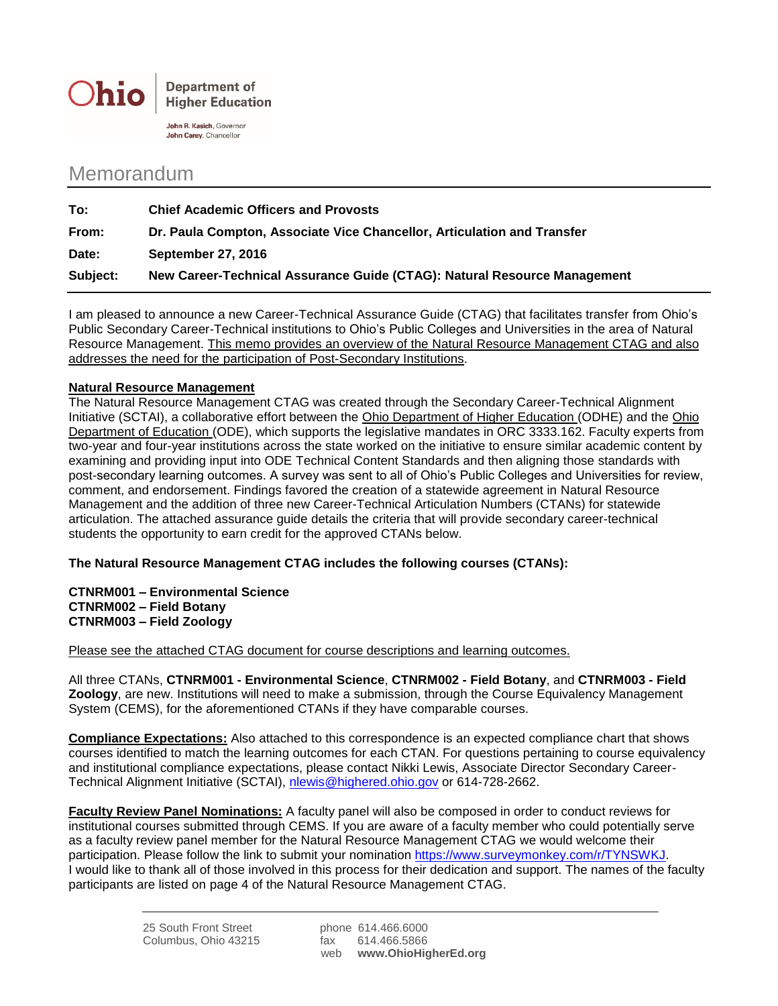

John R. Kasich, Governor John Carey, Chancellor

## Memorandum

| To:      | <b>Chief Academic Officers and Provosts</b>                              |
|----------|--------------------------------------------------------------------------|
| From:    | Dr. Paula Compton, Associate Vice Chancellor, Articulation and Transfer  |
| Date:    | <b>September 27, 2016</b>                                                |
| Subject: | New Career-Technical Assurance Guide (CTAG): Natural Resource Management |

I am pleased to announce a new Career-Technical Assurance Guide (CTAG) that facilitates transfer from Ohio's Public Secondary Career-Technical institutions to Ohio's Public Colleges and Universities in the area of Natural Resource Management. This memo provides an overview of the Natural Resource Management CTAG and also addresses the need for the participation of Post-Secondary Institutions.

## **Natural Resource Management**

The Natural Resource Management CTAG was created through the Secondary Career-Technical Alignment Initiative (SCTAI), a collaborative effort between the Ohio Department of Higher Education (ODHE) and the Ohio Department of Education (ODE), which supports the legislative mandates in ORC 3333.162. Faculty experts from two-year and four-year institutions across the state worked on the initiative to ensure similar academic content by examining and providing input into ODE Technical Content Standards and then aligning those standards with post-secondary learning outcomes. A survey was sent to all of Ohio's Public Colleges and Universities for review, comment, and endorsement. Findings favored the creation of a statewide agreement in Natural Resource Management and the addition of three new Career-Technical Articulation Numbers (CTANs) for statewide articulation. The attached assurance guide details the criteria that will provide secondary career-technical students the opportunity to earn credit for the approved CTANs below.

**The Natural Resource Management CTAG includes the following courses (CTANs):**

**CTNRM001 – Environmental Science CTNRM002 – Field Botany CTNRM003 – Field Zoology**

Please see the attached CTAG document for course descriptions and learning outcomes.

All three CTANs, **CTNRM001 - Environmental Science**, **CTNRM002 - Field Botany**, and **CTNRM003 - Field Zoology**, are new. Institutions will need to make a submission, through the Course Equivalency Management System (CEMS), for the aforementioned CTANs if they have comparable courses.

**Compliance Expectations:** Also attached to this correspondence is an expected compliance chart that shows courses identified to match the learning outcomes for each CTAN. For questions pertaining to course equivalency and institutional compliance expectations, please contact Nikki Lewis, Associate Director Secondary Career-Technical Alignment Initiative (SCTAI), [nlewis@highered.ohio.gov](mailto:nlewis@highered.ohio.gov) or 614-728-2662.

**Faculty Review Panel Nominations:** A faculty panel will also be composed in order to conduct reviews for institutional courses submitted through CEMS. If you are aware of a faculty member who could potentially serve as a faculty review panel member for the Natural Resource Management CTAG we would welcome their participation. Please follow the link to submit your nomination [https://www.surveymonkey.com/r/TYNSWKJ.](https://www.surveymonkey.com/r/TYNSWKJ) I would like to thank all of those involved in this process for their dedication and support. The names of the faculty participants are listed on page 4 of the Natural Resource Management CTAG.